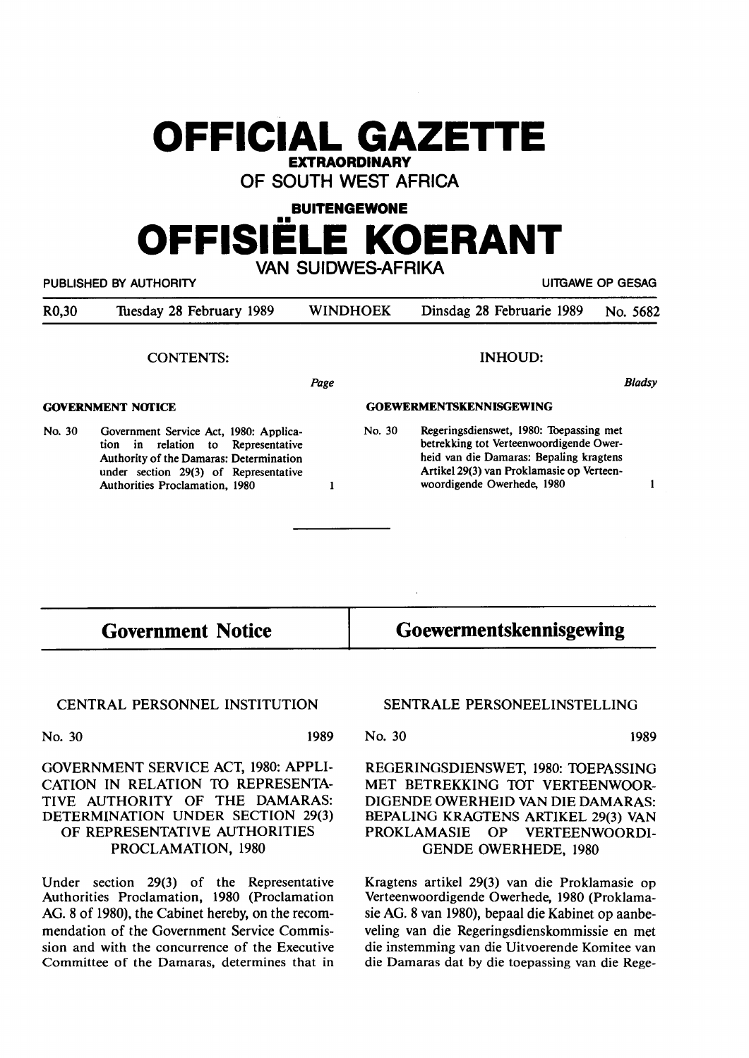## **OFFICIAL GAZETTE EXTRAORDINARY**

**OF SOUTH WEST AFRICA** 

**BUITENGEWONE** 

# •• **OFFISIELE KOERANT VAN SUIDWES-AFRIKA**

| mu ooldiicomiini<br>UITGAWE OP GESAG<br>PUBLISHED BY AUTHORITY |                            |                                                                                                                                                                                                              |
|----------------------------------------------------------------|----------------------------|--------------------------------------------------------------------------------------------------------------------------------------------------------------------------------------------------------------|
| WINDHOEK                                                       | Dinsdag 28 Februarie 1989  | No. 5682                                                                                                                                                                                                     |
|                                                                | <b>INHOUD:</b>             |                                                                                                                                                                                                              |
| Page                                                           |                            | <b>Bladsy</b>                                                                                                                                                                                                |
|                                                                |                            |                                                                                                                                                                                                              |
| No. 30                                                         | woordigende Owerhede, 1980 |                                                                                                                                                                                                              |
|                                                                |                            | <b>GOEWERMENTSKENNISGEWING</b><br>Regeringsdienswet, 1980: Toepassing met<br>betrekking tot Verteenwoordigende Ower-<br>heid van die Damaras: Bepaling kragtens<br>Artikel 29(3) van Proklamasie op Verteen- |

**Government Notice Goewermentskennisgewing** 

### **CENTRAL PERSONNEL INSTITUTION**

No. 30 **1989** 

GOVERNMENT SERVICE ACT, 1980: APPLI-CATION IN RELATION TO REPRESENTA-TIVE AUTHORITY OF THE DAMARAS: DETERMINATION UNDER SECTION 29(3) OF REPRESENTATIVE AUTHORITIES PROCLAMATION, 1980

Under section 29(3) of the Representative Authorities Proclamation, 1980 (Proclamation AG. 8 of 1980), the Cabinet hereby, on the recommendation of the Government Service Commission and with the concurrence of the Executive Committee of the Damaras, determines that in

**SENTRALE PERSONEELINSTELLING** 

**No. 30 1989** 

**REGERINGSDIENSWET,** 1980: **TOEPASSING MET BETREKKING** TOT **VERTEENWOOR-**DIGENDE **OWERHEID VAN DIE DAMARAS: BEPALING KRAGTENS ARTIKEL** 29(3) VAN **PROKLAMASIE** OP **VERTEENWOORDI-**GENDE **OWERHEDE,** 1980

Kragtens artikel 29(3) van die Proklamasie op Verteenwoordigende Owerhede, 1980 (Proklamasie AG. 8 van 1980), bepaal die Kabinet op aanbeveling van die Regeringsdienskommissie en met die instemming van die Uitvoerende Komitee van die Damaras dat by die toepassing van die Rege-